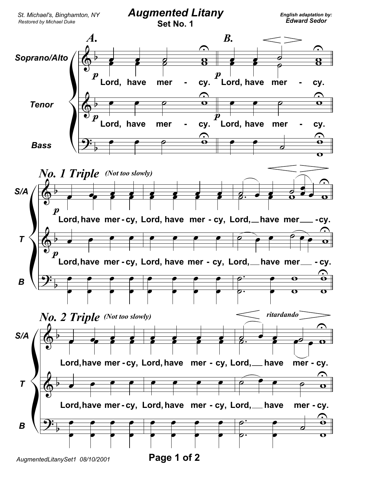